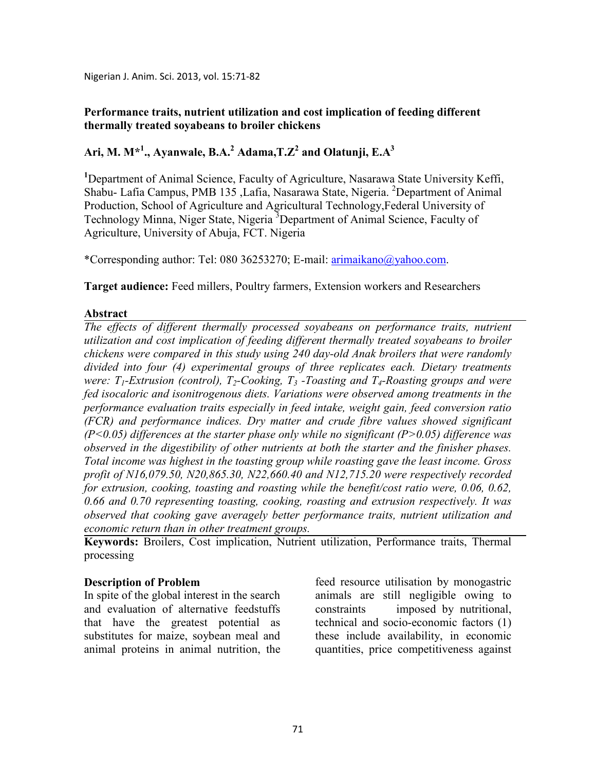Nigerian J. Anim. Sci. 2013, vol. 15:71-82

# **Performance traits, nutrient utilization and cost implication of feeding different thermally treated soyabeans to broiler chickens**

# **Ari, M. M\*<sup>1</sup> ., Ayanwale, B.A.<sup>2</sup> Adama,T.Z<sup>2</sup> and Olatunji, E.A<sup>3</sup>**

**<sup>1</sup>**Department of Animal Science, Faculty of Agriculture, Nasarawa State University Keffi, Shabu- Lafia Campus, PMB 135 ,Lafia, Nasarawa State, Nigeria. <sup>2</sup>Department of Animal Production, School of Agriculture and Agricultural Technology,Federal University of Technology Minna, Niger State, Nigeria <sup>3</sup>Department of Animal Science, Faculty of Agriculture, University of Abuja, FCT. Nigeria

\*Corresponding author: Tel: 080 36253270; E-mail: arimaikano@yahoo.com.

**Target audience:** Feed millers, Poultry farmers, Extension workers and Researchers

# **Abstract**

*The effects of different thermally processed soyabeans on performance traits, nutrient utilization and cost implication of feeding different thermally treated soyabeans to broiler chickens were compared in this study using 240 day-old Anak broilers that were randomly divided into four (4) experimental groups of three replicates each. Dietary treatments were: T1-Extrusion (control), T2-Cooking, T3 -Toasting and T4-Roasting groups and were fed isocaloric and isonitrogenous diets. Variations were observed among treatments in the performance evaluation traits especially in feed intake, weight gain, feed conversion ratio (FCR) and performance indices. Dry matter and crude fibre values showed significant (P<0.05) differences at the starter phase only while no significant (P>0.05) difference was observed in the digestibility of other nutrients at both the starter and the finisher phases. Total income was highest in the toasting group while roasting gave the least income. Gross profit of 16,079.50, 20,865.30, 22,660.40 and 12,715.20 were respectively recorded for extrusion, cooking, toasting and roasting while the benefit/cost ratio were, 0.06, 0.62, 0.66 and 0.70 representing toasting, cooking, roasting and extrusion respectively. It was observed that cooking gave averagely better performance traits, nutrient utilization and economic return than in other treatment groups.* 

**Keywords:** Broilers, Cost implication, Nutrient utilization, Performance traits, Thermal processing

# **Description of Problem**

In spite of the global interest in the search and evaluation of alternative feedstuffs that have the greatest potential as substitutes for maize, soybean meal and animal proteins in animal nutrition, the feed resource utilisation by monogastric animals are still negligible owing to constraints imposed by nutritional, technical and socio-economic factors (1) these include availability, in economic quantities, price competitiveness against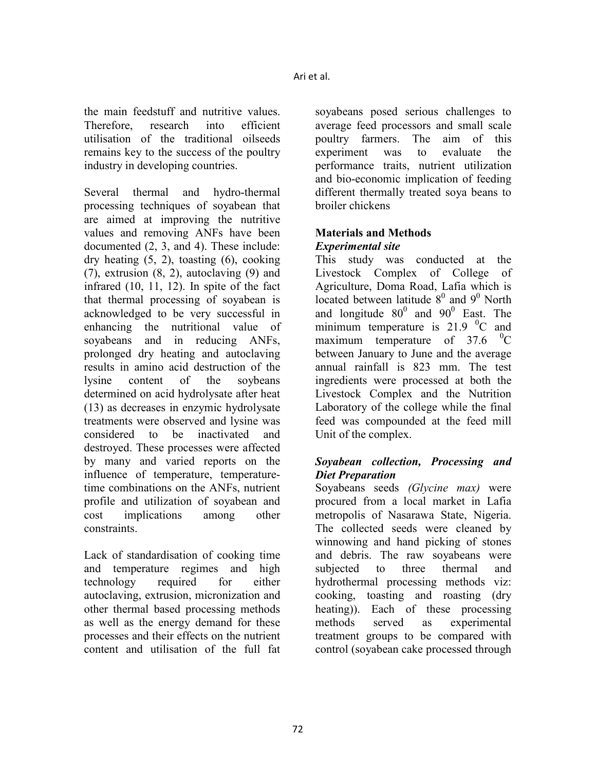the main feedstuff and nutritive values. Therefore, research into efficient utilisation of the traditional oilseeds remains key to the success of the poultry industry in developing countries.

Several thermal and hydro-thermal processing techniques of soyabean that are aimed at improving the nutritive values and removing ANFs have been documented (2, 3, and 4). These include: dry heating (5, 2), toasting (6), cooking (7), extrusion (8, 2), autoclaving (9) and infrared (10, 11, 12). In spite of the fact that thermal processing of soyabean is acknowledged to be very successful in enhancing the nutritional value of soyabeans and in reducing ANFs, prolonged dry heating and autoclaving results in amino acid destruction of the lysine content of the soybeans determined on acid hydrolysate after heat (13) as decreases in enzymic hydrolysate treatments were observed and lysine was considered to be inactivated and destroyed. These processes were affected by many and varied reports on the influence of temperature, temperaturetime combinations on the ANFs, nutrient profile and utilization of soyabean and cost implications among other constraints.

Lack of standardisation of cooking time and temperature regimes and high technology required for either autoclaving, extrusion, micronization and other thermal based processing methods as well as the energy demand for these processes and their effects on the nutrient content and utilisation of the full fat

soyabeans posed serious challenges to average feed processors and small scale poultry farmers. The aim of this experiment was to evaluate the performance traits, nutrient utilization and bio-economic implication of feeding different thermally treated soya beans to broiler chickens

# **Materials and Methods**  *Experimental site*

This study was conducted at the Livestock Complex of College of Agriculture, Doma Road, Lafia which is located between latitude  $8^0$  and  $9^0$  North and longitude  $80^0$  and  $90^0$  East. The minimum temperature is  $21.9 \text{ }^{\circ}C$  and maximum temperature of  $37.6 \text{ }^{\circ}C$ between January to June and the average annual rainfall is 823 mm. The test ingredients were processed at both the Livestock Complex and the Nutrition Laboratory of the college while the final feed was compounded at the feed mill Unit of the complex.

# *Soyabean collection, Processing and Diet Preparation*

Soyabeans seeds *(Glycine max)* were procured from a local market in Lafia metropolis of Nasarawa State, Nigeria. The collected seeds were cleaned by winnowing and hand picking of stones and debris. The raw soyabeans were subjected to three thermal and hydrothermal processing methods viz: cooking, toasting and roasting (dry heating)). Each of these processing methods served as experimental treatment groups to be compared with control (soyabean cake processed through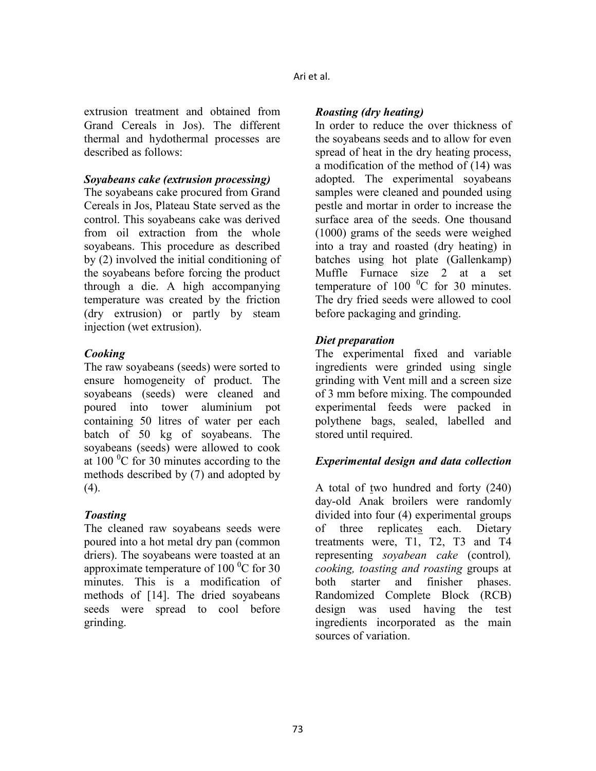extrusion treatment and obtained from Grand Cereals in Jos). The different thermal and hydothermal processes are described as follows:

### *Soyabeans cake (extrusion processing)*

The soyabeans cake procured from Grand Cereals in Jos, Plateau State served as the control. This soyabeans cake was derived from oil extraction from the whole soyabeans. This procedure as described by (2) involved the initial conditioning of the soyabeans before forcing the product through a die. A high accompanying temperature was created by the friction (dry extrusion) or partly by steam injection (wet extrusion).

# *Cooking*

The raw soyabeans (seeds) were sorted to ensure homogeneity of product. The soyabeans (seeds) were cleaned and poured into tower aluminium pot containing 50 litres of water per each batch of 50 kg of soyabeans. The soyabeans (seeds) were allowed to cook at 100 $\mathrm{^0C}$  for 30 minutes according to the methods described by (7) and adopted by (4).

# *Toasting*

The cleaned raw soyabeans seeds were poured into a hot metal dry pan (common driers). The soyabeans were toasted at an approximate temperature of  $100<sup>0</sup>C$  for 30 minutes. This is a modification of methods of [14]. The dried soyabeans seeds were spread to cool before grinding.

# *Roasting (dry heating)*

In order to reduce the over thickness of the soyabeans seeds and to allow for even spread of heat in the dry heating process, a modification of the method of (14) was adopted. The experimental soyabeans samples were cleaned and pounded using pestle and mortar in order to increase the surface area of the seeds. One thousand (1000) grams of the seeds were weighed into a tray and roasted (dry heating) in batches using hot plate (Gallenkamp) Muffle Furnace size 2 at a set temperature of  $100<sup>0</sup>C$  for 30 minutes. The dry fried seeds were allowed to cool before packaging and grinding.

# *Diet preparation*

The experimental fixed and variable ingredients were grinded using single grinding with Vent mill and a screen size of 3 mm before mixing. The compounded experimental feeds were packed in polythene bags, sealed, labelled and stored until required.

# *Experimental design and data collection*

A total of two hundred and forty (240) day-old Anak broilers were randomly divided into four (4) experimental groups of three replicates each. Dietary treatments were, T1, T2, T3 and T4 representing *soyabean cake* (control)*, cooking, toasting and roasting* groups at both starter and finisher phases. Randomized Complete Block (RCB) design was used having the test ingredients incorporated as the main sources of variation.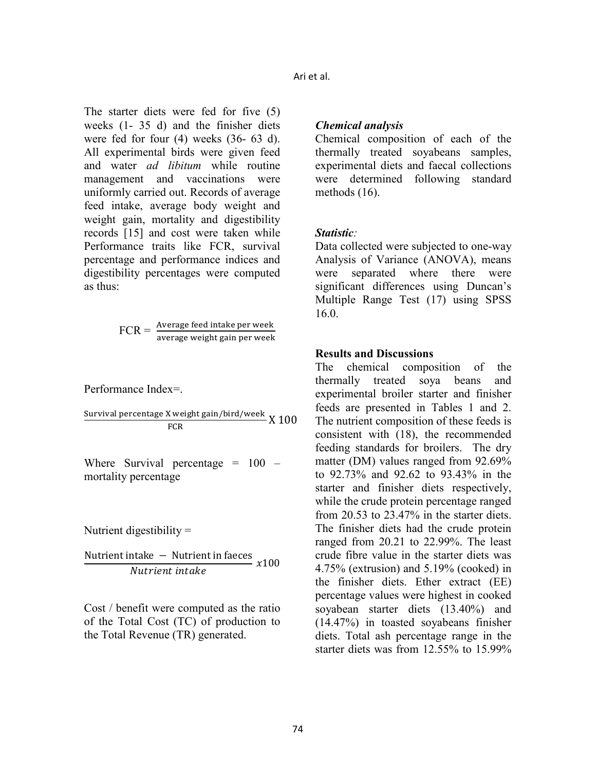The starter diets were fed for five (5) weeks (1- 35 d) and the finisher diets were fed for four (4) weeks (36- 63 d). All experimental birds were given feed and water *ad libitum* while routine management and vaccinations were uniformly carried out. Records of average feed intake, average body weight and weight gain, mortality and digestibility records [15] and cost were taken while Performance traits like FCR, survival percentage and performance indices and digestibility percentages were computed as thus:

 $\text{FCR} = \frac{\text{Average feed intake per week}}{\text{average weight gain per week}}$ 

Performance Index=.

Survival percentage X weight gain/bird/week  $\chi$  100  $FCR$ 

Where Survival percentage  $= 100$ mortality percentage

Nutrient digestibility  $=$ 

Nutrient intake – Nutrient in faeces  $x100$ Nutrient intake

Cost / benefit were computed as the ratio of the Total Cost (TC) of production to the Total Revenue (TR) generated.

### *Chemical analysis*

Chemical composition of each of the thermally treated soyabeans samples, experimental diets and faecal collections were determined following standard methods (16).

#### *Statistic:*

Data collected were subjected to one-way Analysis of Variance (ANOVA), means were separated where there were significant differences using Duncan's Multiple Range Test (17) using SPSS 16.0.

### **Results and Discussions**

The chemical composition of the thermally treated soya beans and experimental broiler starter and finisher feeds are presented in Tables 1 and 2. The nutrient composition of these feeds is consistent with (18), the recommended feeding standards for broilers. The dry matter (DM) values ranged from 92.69% to 92.73% and 92.62 to 93.43% in the starter and finisher diets respectively, while the crude protein percentage ranged from 20.53 to 23.47% in the starter diets. The finisher diets had the crude protein ranged from 20.21 to 22.99%. The least crude fibre value in the starter diets was 4.75% (extrusion) and 5.19% (cooked) in the finisher diets. Ether extract (EE) percentage values were highest in cooked soyabean starter diets (13.40%) and (14.47%) in toasted soyabeans finisher diets. Total ash percentage range in the starter diets was from 12.55% to 15.99%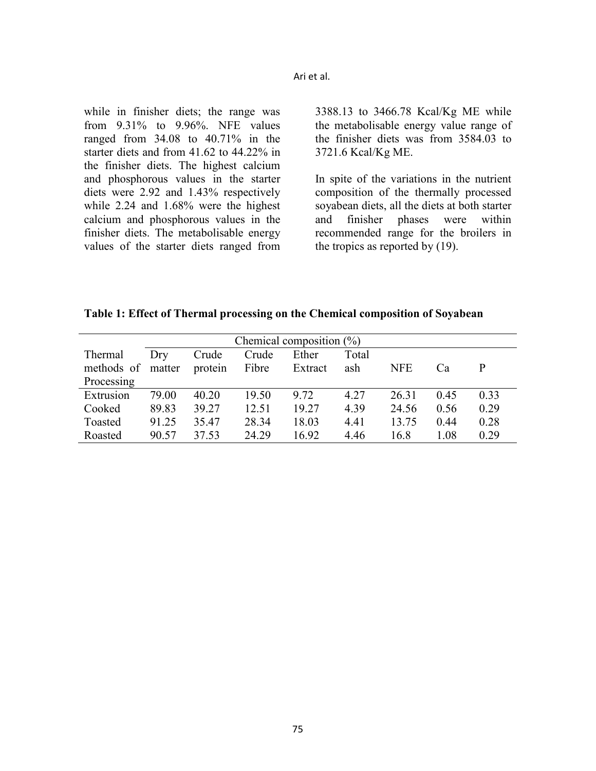while in finisher diets; the range was from 9.31% to 9.96%. NFE values ranged from 34.08 to 40.71% in the starter diets and from 41.62 to 44.22% in the finisher diets. The highest calcium and phosphorous values in the starter diets were 2.92 and 1.43% respectively while 2.24 and 1.68% were the highest calcium and phosphorous values in the finisher diets. The metabolisable energy values of the starter diets ranged from 3388.13 to 3466.78 Kcal/Kg ME while the metabolisable energy value range of the finisher diets was from 3584.03 to 3721.6 Kcal/Kg ME.

In spite of the variations in the nutrient composition of the thermally processed soyabean diets, all the diets at both starter and finisher phases were within recommended range for the broilers in the tropics as reported by (19).

**Table 1: Effect of Thermal processing on the Chemical composition of Soyabean** 

| Chemical composition $(\%)$ |        |         |       |         |       |            |      |      |
|-----------------------------|--------|---------|-------|---------|-------|------------|------|------|
| Thermal                     | Dry    | Crude   | Crude | Ether   | Total |            |      |      |
| methods of                  | matter | protein | Fibre | Extract | ash   | <b>NFE</b> | Ca   | P    |
| Processing                  |        |         |       |         |       |            |      |      |
| Extrusion                   | 79.00  | 40.20   | 19.50 | 9.72    | 4.27  | 26.31      | 0.45 | 0.33 |
| Cooked                      | 89.83  | 39.27   | 12.51 | 19.27   | 4.39  | 24.56      | 0.56 | 0.29 |
| Toasted                     | 91.25  | 35.47   | 28.34 | 18.03   | 4.41  | 13.75      | 0.44 | 0.28 |
| Roasted                     | 90.57  | 37.53   | 24.29 | 16.92   | 4.46  | 16.8       | 1.08 | 0.29 |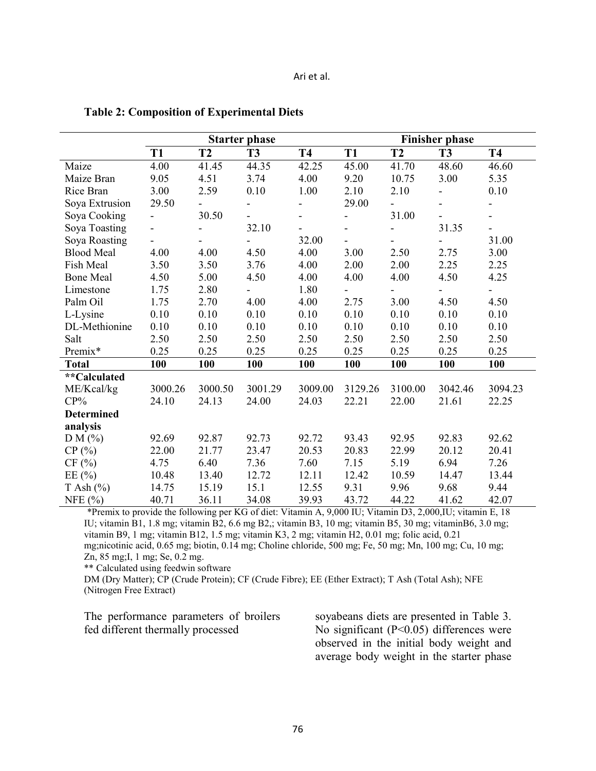|                   | <b>Starter phase</b>     |           |                          |                          | <b>Finisher phase</b>        |           |                          |                          |  |
|-------------------|--------------------------|-----------|--------------------------|--------------------------|------------------------------|-----------|--------------------------|--------------------------|--|
|                   | <b>T1</b>                | <b>T2</b> | <b>T3</b>                | <b>T4</b>                | <b>T1</b>                    | <b>T2</b> | <b>T3</b>                | <b>T4</b>                |  |
| Maize             | 4.00                     | 41.45     | 44.35                    | 42.25                    | 45.00                        | 41.70     | 48.60                    | 46.60                    |  |
| Maize Bran        | 9.05                     | 4.51      | 3.74                     | 4.00                     | 9.20                         | 10.75     | 3.00                     | 5.35                     |  |
| Rice Bran         | 3.00                     | 2.59      | 0.10                     | 1.00                     | 2.10                         | 2.10      | $\blacksquare$           | 0.10                     |  |
| Soya Extrusion    | 29.50                    |           | $\blacksquare$           | $\overline{\phantom{0}}$ | 29.00                        |           | $\overline{\phantom{0}}$ | $\overline{\phantom{a}}$ |  |
| Soya Cooking      | $\blacksquare$           | 30.50     |                          | $\overline{\phantom{0}}$ | $\qquad \qquad \blacksquare$ | 31.00     |                          | $\blacksquare$           |  |
| Soya Toasting     | $\blacksquare$           |           | 32.10                    |                          |                              |           | 31.35                    | $\overline{\phantom{0}}$ |  |
| Soya Roasting     | $\overline{\phantom{0}}$ |           |                          | 32.00                    |                              |           |                          | 31.00                    |  |
| <b>Blood Meal</b> | 4.00                     | 4.00      | 4.50                     | 4.00                     | 3.00                         | 2.50      | 2.75                     | 3.00                     |  |
| Fish Meal         | 3.50                     | 3.50      | 3.76                     | 4.00                     | 2.00                         | 2.00      | 2.25                     | 2.25                     |  |
| <b>Bone Meal</b>  | 4.50                     | 5.00      | 4.50                     | 4.00                     | 4.00                         | 4.00      | 4.50                     | 4.25                     |  |
| Limestone         | 1.75                     | 2.80      | $\overline{\phantom{0}}$ | 1.80                     |                              | -         | $\overline{\phantom{0}}$ | $\overline{\phantom{a}}$ |  |
| Palm Oil          | 1.75                     | 2.70      | 4.00                     | 4.00                     | 2.75                         | 3.00      | 4.50                     | 4.50                     |  |
| L-Lysine          | 0.10                     | 0.10      | 0.10                     | 0.10                     | 0.10                         | 0.10      | 0.10                     | 0.10                     |  |
| DL-Methionine     | 0.10                     | 0.10      | 0.10                     | 0.10                     | 0.10                         | 0.10      | 0.10                     | 0.10                     |  |
| Salt              | 2.50                     | 2.50      | 2.50                     | 2.50                     | 2.50                         | 2.50      | 2.50                     | 2.50                     |  |
| Premix*           | 0.25                     | 0.25      | 0.25                     | 0.25                     | 0.25                         | 0.25      | 0.25                     | 0.25                     |  |
| <b>Total</b>      | 100                      | 100       | 100                      | 100                      | 100                          | 100       | 100                      | 100                      |  |
| **Calculated      |                          |           |                          |                          |                              |           |                          |                          |  |
| ME/Kcal/kg        | 3000.26                  | 3000.50   | 3001.29                  | 3009.00                  | 3129.26                      | 3100.00   | 3042.46                  | 3094.23                  |  |
| $CP\%$            | 24.10                    | 24.13     | 24.00                    | 24.03                    | 22.21                        | 22.00     | 21.61                    | 22.25                    |  |
| <b>Determined</b> |                          |           |                          |                          |                              |           |                          |                          |  |
| analysis          |                          |           |                          |                          |                              |           |                          |                          |  |
| DM(%)             | 92.69                    | 92.87     | 92.73                    | 92.72                    | 93.43                        | 92.95     | 92.83                    | 92.62                    |  |
| CP(%)             | 22.00                    | 21.77     | 23.47                    | 20.53                    | 20.83                        | 22.99     | 20.12                    | 20.41                    |  |
| CF(%)             | 4.75                     | 6.40      | 7.36                     | 7.60                     | 7.15                         | 5.19      | 6.94                     | 7.26                     |  |
| EE $(\% )$        | 10.48                    | 13.40     | 12.72                    | 12.11                    | 12.42                        | 10.59     | 14.47                    | 13.44                    |  |
| $T$ Ash $(\% )$   | 14.75                    | 15.19     | 15.1                     | 12.55                    | 9.31                         | 9.96      | 9.68                     | 9.44                     |  |
| NFE $(%)$         | 40.71                    | 36.11     | 34.08                    | 39.93                    | 43.72                        | 44.22     | 41.62                    | 42.07                    |  |

#### **Table 2: Composition of Experimental Diets**

\*Premix to provide the following per KG of diet: Vitamin A, 9,000 IU; Vitamin D3, 2,000,IU; vitamin E, 18 IU; vitamin B1, 1.8 mg; vitamin B2, 6.6 mg B2,; vitamin B3, 10 mg; vitamin B5, 30 mg; vitaminB6, 3.0 mg; vitamin B9, 1 mg; vitamin B12, 1.5 mg; vitamin K3, 2 mg; vitamin H2, 0.01 mg; folic acid, 0.21 mg;nicotinic acid, 0.65 mg; biotin, 0.14 mg; Choline chloride, 500 mg; Fe, 50 mg; Mn, 100 mg; Cu, 10 mg; Zn, 85 mg;I, 1 mg; Se, 0.2 mg.

\*\* Calculated using feedwin software

DM (Dry Matter); CP (Crude Protein); CF (Crude Fibre); EE (Ether Extract); T Ash (Total Ash); NFE (Nitrogen Free Extract)

| The performance parameters of broilers |  |  |
|----------------------------------------|--|--|
| fed different thermally processed      |  |  |

soyabeans diets are presented in Table 3. No significant (P<0.05) differences were observed in the initial body weight and average body weight in the starter phase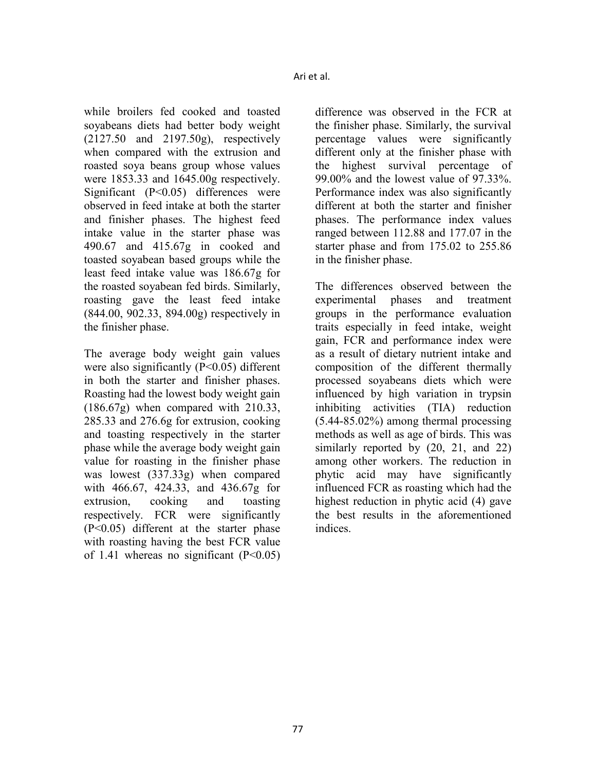while broilers fed cooked and toasted soyabeans diets had better body weight (2127.50 and 2197.50g), respectively when compared with the extrusion and roasted soya beans group whose values were 1853.33 and 1645.00g respectively. Significant  $(P<0.05)$  differences were observed in feed intake at both the starter and finisher phases. The highest feed intake value in the starter phase was 490.67 and 415.67g in cooked and toasted soyabean based groups while the least feed intake value was 186.67g for the roasted soyabean fed birds. Similarly, roasting gave the least feed intake (844.00, 902.33, 894.00g) respectively in the finisher phase.

The average body weight gain values were also significantly (P<0.05) different in both the starter and finisher phases. Roasting had the lowest body weight gain (186.67g) when compared with 210.33, 285.33 and 276.6g for extrusion, cooking and toasting respectively in the starter phase while the average body weight gain value for roasting in the finisher phase was lowest (337.33g) when compared with 466.67, 424.33, and 436.67g for extrusion, cooking and toasting respectively. FCR were significantly (P<0.05) different at the starter phase with roasting having the best FCR value of 1.41 whereas no significant  $(P<0.05)$ 

difference was observed in the FCR at the finisher phase. Similarly, the survival percentage values were significantly different only at the finisher phase with the highest survival percentage of 99.00% and the lowest value of 97.33%. Performance index was also significantly different at both the starter and finisher phases. The performance index values ranged between 112.88 and 177.07 in the starter phase and from 175.02 to 255.86 in the finisher phase.

The differences observed between the experimental phases and treatment groups in the performance evaluation traits especially in feed intake, weight gain, FCR and performance index were as a result of dietary nutrient intake and composition of the different thermally processed soyabeans diets which were influenced by high variation in trypsin inhibiting activities (TIA) reduction (5.44-85.02%) among thermal processing methods as well as age of birds. This was similarly reported by  $(20, 21,$  and  $22)$ among other workers. The reduction in phytic acid may have significantly influenced FCR as roasting which had the highest reduction in phytic acid (4) gave the best results in the aforementioned indices.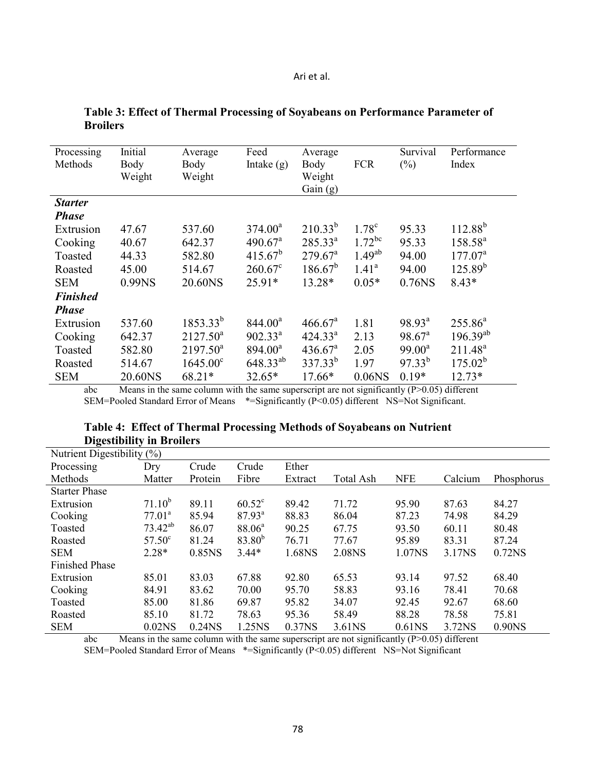| Processing      | Initial | Average           | Feed                | Average             |                   | Survival        | Performance      |
|-----------------|---------|-------------------|---------------------|---------------------|-------------------|-----------------|------------------|
| Methods         | Body    | Body              | Intake $(g)$        | Body                | <b>FCR</b>        | $(\% )$         | Index            |
|                 | Weight  | Weight            |                     | Weight              |                   |                 |                  |
|                 |         |                   |                     | Gain $(g)$          |                   |                 |                  |
| <b>Starter</b>  |         |                   |                     |                     |                   |                 |                  |
| <b>Phase</b>    |         |                   |                     |                     |                   |                 |                  |
| Extrusion       | 47.67   | 537.60            | $374.00^a$          | $210.33^{b}$        | 1.78 <sup>c</sup> | 95.33           | $112.88^{b}$     |
| Cooking         | 40.67   | 642.37            | $490.67^{\text{a}}$ | $285.33^{a}$        | $1.72^{bc}$       | 95.33           | $158.58^{a}$     |
| Toasted         | 44.33   | 582.80            | $415.67^b$          | $279.67^{\text{a}}$ | $1.49^{ab}$       | 94.00           | $177.07^{\circ}$ |
| Roasted         | 45.00   | 514.67            | $260.67^c$          | $186.67^{b}$        | $1.41^a$          | 94.00           | $125.89^{b}$     |
| <b>SEM</b>      | 0.99NS  | 20.60NS           | 25.91*              | 13.28*              | $0.05*$           | 0.76NS          | $8.43*$          |
| <b>Finished</b> |         |                   |                     |                     |                   |                 |                  |
| <b>Phase</b>    |         |                   |                     |                     |                   |                 |                  |
| Extrusion       | 537.60  | $1853.33^{b}$     | $844.00^a$          | 466.67 <sup>a</sup> | 1.81              | $98.93^a$       | $255.86^{a}$     |
| Cooking         | 642.37  | $2127.50^a$       | $902.33^{a}$        | 424.33 <sup>a</sup> | 2.13              | $98.67^{\circ}$ | $196.39^{ab}$    |
| Toasted         | 582.80  | $2197.50^a$       | $894.00^a$          | $436.67^a$          | 2.05              | $99.00^a$       | $211.48^a$       |
| Roasted         | 514.67  | $1645.00^{\circ}$ | $648.33^{ab}$       | $337.33^{b}$        | 1.97              | $97.33^{b}$     | $175.02^{b}$     |
| <b>SEM</b>      | 20.60NS | 68.21*            | $32.65*$            | 17.66*              | $0.06$ NS         | $0.19*$         | $12.73*$         |

### **Table 3: Effect of Thermal Processing of Soyabeans on Performance Parameter of Broilers**

abc Means in the same column with the same superscript are not significantly (P>0.05) different SEM=Pooled Standard Error of Means \*=Significantly (P<0.05) different NS=Not Significant.

### Table 4: Effect of Thermal Processing Methods of Soyabeans on Nutrient **Digestibility in Broilers**

| Nutrient Digestibility (%) |                 |           |                    |         |                  |                    |         |            |
|----------------------------|-----------------|-----------|--------------------|---------|------------------|--------------------|---------|------------|
| Processing                 | Dry             | Crude     | Crude              | Ether   |                  |                    |         |            |
| Methods                    | Matter          | Protein   | Fibre              | Extract | <b>Total Ash</b> | <b>NFE</b>         | Calcium | Phosphorus |
| <b>Starter Phase</b>       |                 |           |                    |         |                  |                    |         |            |
| Extrusion                  | $71.10^{b}$     | 89.11     | $60.52^{\circ}$    | 89.42   | 71.72            | 95.90              | 87.63   | 84.27      |
| Cooking                    | $77.01^a$       | 85.94     | $87.93^{\circ}$    | 88.83   | 86.04            | 87.23              | 74.98   | 84.29      |
| Toasted                    | $73.42^{ab}$    | 86.07     | 88.06 <sup>a</sup> | 90.25   | 67.75            | 93.50              | 60.11   | 80.48      |
| Roasted                    | $57.50^{\circ}$ | 81.24     | $83.80^{b}$        | 76.71   | 77.67            | 95.89              | 83.31   | 87.24      |
| <b>SEM</b>                 | $2.28*$         | 0.85NS    | $3.44*$            | 1.68NS  | 2.08NS           | 1.07NS             | 3.17NS  | 0.72NS     |
| <b>Finished Phase</b>      |                 |           |                    |         |                  |                    |         |            |
| Extrusion                  | 85.01           | 83.03     | 67.88              | 92.80   | 65.53            | 93.14              | 97.52   | 68.40      |
| Cooking                    | 84.91           | 83.62     | 70.00              | 95.70   | 58.83            | 93.16              | 78.41   | 70.68      |
| Toasted                    | 85.00           | 81.86     | 69.87              | 95.82   | 34.07            | 92.45              | 92.67   | 68.60      |
| Roasted                    | 85.10           | 81.72     | 78.63              | 95.36   | 58.49            | 88.28              | 78.58   | 75.81      |
| <b>SEM</b>                 | $0.02$ NS       | $0.24$ NS | 1.25NS             | 0.37NS  | 3.61NS           | 0.61 <sub>NS</sub> | 3.72NS  | 0.90NS     |

abc Means in the same column with the same superscript are not significantly (P>0.05) different SEM=Pooled Standard Error of Means \*=Significantly (P<0.05) different NS=Not Significant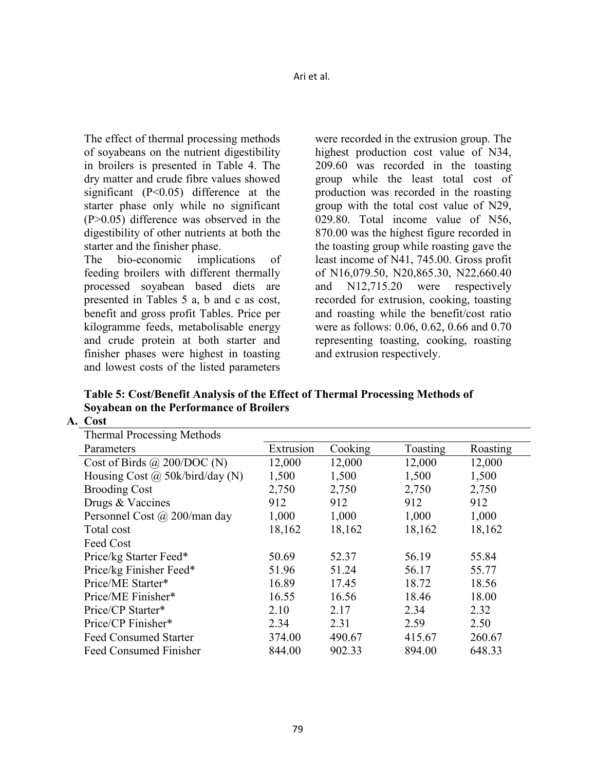The effect of thermal processing methods of soyabeans on the nutrient digestibility in broilers is presented in Table 4. The dry matter and crude fibre values showed significant (P<0.05) difference at the starter phase only while no significant (P>0.05) difference was observed in the digestibility of other nutrients at both the starter and the finisher phase.

The bio-economic implications of feeding broilers with different thermally processed soyabean based diets are presented in Tables 5 a, b and c as cost, benefit and gross profit Tables. Price per kilogramme feeds, metabolisable energy and crude protein at both starter and finisher phases were highest in toasting and lowest costs of the listed parameters

were recorded in the extrusion group. The highest production cost value of N34, 209.60 was recorded in the toasting group while the least total cost of production was recorded in the roasting group with the total cost value of N29, 029.80. Total income value of N56, 870.00 was the highest figure recorded in the toasting group while roasting gave the least income of N41, 745.00. Gross profit of N16,079.50, N20,865.30, N22,660.40 and N12,715.20 were respectively recorded for extrusion, cooking, toasting and roasting while the benefit/cost ratio were as follows: 0.06, 0.62, 0.66 and 0.70 representing toasting, cooking, roasting and extrusion respectively.

**Table 5: Cost/Benefit Analysis of the Effect of Thermal Processing Methods of Soyabean on the Performance of Broilers** 

| <b>Thermal Processing Methods</b>      |           |         |          |          |
|----------------------------------------|-----------|---------|----------|----------|
| Parameters                             | Extrusion | Cooking | Toasting | Roasting |
| Cost of Birds $\omega$ 200/DOC (N)     | 12,000    | 12,000  | 12,000   | 12,000   |
| Housing Cost $\omega$ 50k/bird/day (N) | 1,500     | 1,500   | 1,500    | 1,500    |
| <b>Brooding Cost</b>                   | 2,750     | 2,750   | 2,750    | 2,750    |
| Drugs & Vaccines                       | 912       | 912     | 912      | 912      |
| Personnel Cost @ 200/man day           | 1,000     | 1,000   | 1,000    | 1,000    |
| Total cost                             | 18,162    | 18,162  | 18,162   | 18,162   |
| Feed Cost                              |           |         |          |          |
| Price/kg Starter Feed*                 | 50.69     | 52.37   | 56.19    | 55.84    |
| Price/kg Finisher Feed*                | 51.96     | 51.24   | 56.17    | 55.77    |
| Price/ME Starter*                      | 16.89     | 17.45   | 18.72    | 18.56    |
| Price/ME Finisher*                     | 16.55     | 16.56   | 18.46    | 18.00    |
| Price/CP Starter*                      | 2.10      | 2.17    | 2.34     | 2.32     |
| Price/CP Finisher*                     | 2.34      | 2.31    | 2.59     | 2.50     |
| <b>Feed Consumed Starter</b>           | 374.00    | 490.67  | 415.67   | 260.67   |
| <b>Feed Consumed Finisher</b>          | 844.00    | 902.33  | 894.00   | 648.33   |

**A. Cost**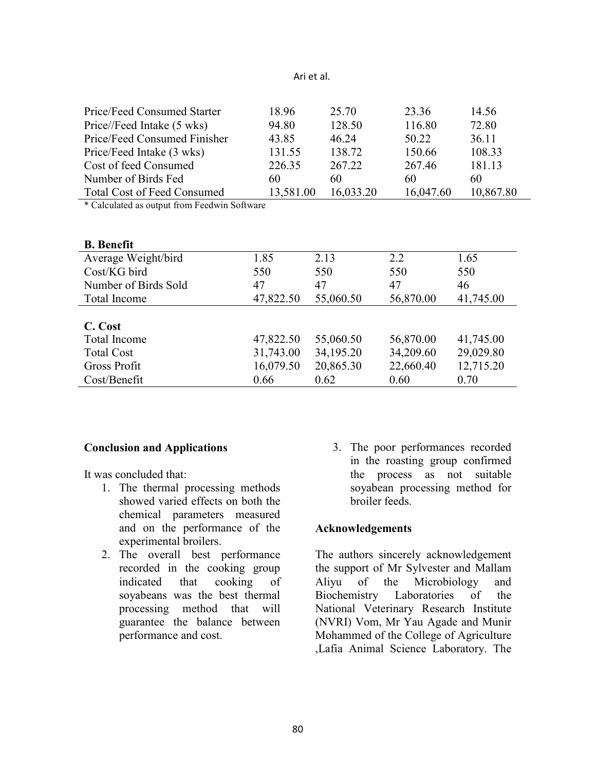|                                                                                                                                                                                                                                                                                                                                                                                                                                                                                        | 18.96     |           |           |           |
|----------------------------------------------------------------------------------------------------------------------------------------------------------------------------------------------------------------------------------------------------------------------------------------------------------------------------------------------------------------------------------------------------------------------------------------------------------------------------------------|-----------|-----------|-----------|-----------|
| Price/Feed Consumed Starter                                                                                                                                                                                                                                                                                                                                                                                                                                                            |           | 25.70     | 23.36     | 14.56     |
| Price//Feed Intake (5 wks)                                                                                                                                                                                                                                                                                                                                                                                                                                                             | 94.80     | 128.50    | 116.80    | 72.80     |
| Price/Feed Consumed Finisher                                                                                                                                                                                                                                                                                                                                                                                                                                                           | 43.85     | 46.24     | 50.22     | 36.11     |
| Price/Feed Intake (3 wks)                                                                                                                                                                                                                                                                                                                                                                                                                                                              | 131.55    | 138.72    | 150.66    | 108.33    |
| Cost of feed Consumed                                                                                                                                                                                                                                                                                                                                                                                                                                                                  | 226.35    | 267.22    | 267.46    | 181.13    |
| Number of Birds Fed                                                                                                                                                                                                                                                                                                                                                                                                                                                                    | 60        | 60        | 60        | 60        |
| <b>Total Cost of Feed Consumed</b>                                                                                                                                                                                                                                                                                                                                                                                                                                                     | 13,581.00 | 16,033.20 | 16,047.60 | 10,867.80 |
| $\mathcal{L} \cap \mathcal{L} \cap \mathcal{L} \cap \mathcal{L} \cap \mathcal{L} \cap \mathcal{L} \cap \mathcal{L} \cap \mathcal{L} \cap \mathcal{L} \cap \mathcal{L} \cap \mathcal{L} \cap \mathcal{L} \cap \mathcal{L} \cap \mathcal{L} \cap \mathcal{L} \cap \mathcal{L} \cap \mathcal{L} \cap \mathcal{L} \cap \mathcal{L} \cap \mathcal{L} \cap \mathcal{L} \cap \mathcal{L} \cap \mathcal{L} \cap \mathcal{L} \cap \mathcal{L} \cap \mathcal{L} \cap \mathcal{L} \cap \mathcal{$ |           |           |           |           |

\* Calculated as output from Feedwin Software

| <b>B.</b> Benefit    |           |           |           |           |
|----------------------|-----------|-----------|-----------|-----------|
| Average Weight/bird  | 1.85      | 2.13      | 2.2       | 1.65      |
| Cost/KG bird         | 550       | 550       | 550       | 550       |
| Number of Birds Sold | 47        | 47        | 47        | 46        |
| Total Income         | 47,822.50 | 55,060.50 | 56,870.00 | 41,745.00 |
|                      |           |           |           |           |
| C. Cost              |           |           |           |           |
| Total Income         | 47,822.50 | 55,060.50 | 56,870.00 | 41,745.00 |
| <b>Total Cost</b>    | 31,743.00 | 34,195.20 | 34,209.60 | 29,029.80 |
| <b>Gross Profit</b>  | 16,079.50 | 20,865.30 | 22,660.40 | 12,715.20 |
| Cost/Benefit         | 0.66      | 0.62      | 0.60      | 0.70      |

#### **Conclusion and Applications**

It was concluded that:

- 1. The thermal processing methods showed varied effects on both the chemical parameters measured and on the performance of the experimental broilers.
- 2. The overall best performance recorded in the cooking group indicated that cooking of soyabeans was the best thermal processing method that will guarantee the balance between performance and cost.
- 3. The poor performances recorded in the roasting group confirmed the process as not suitable soyabean processing method for broiler feeds.

### **Acknowledgements**

The authors sincerely acknowledgement the support of Mr Sylvester and Mallam Aliyu of the Microbiology and Biochemistry Laboratories of the National Veterinary Research Institute (NVRI) Vom, Mr Yau Agade and Munir Mohammed of the College of Agriculture ,Lafia Animal Science Laboratory. The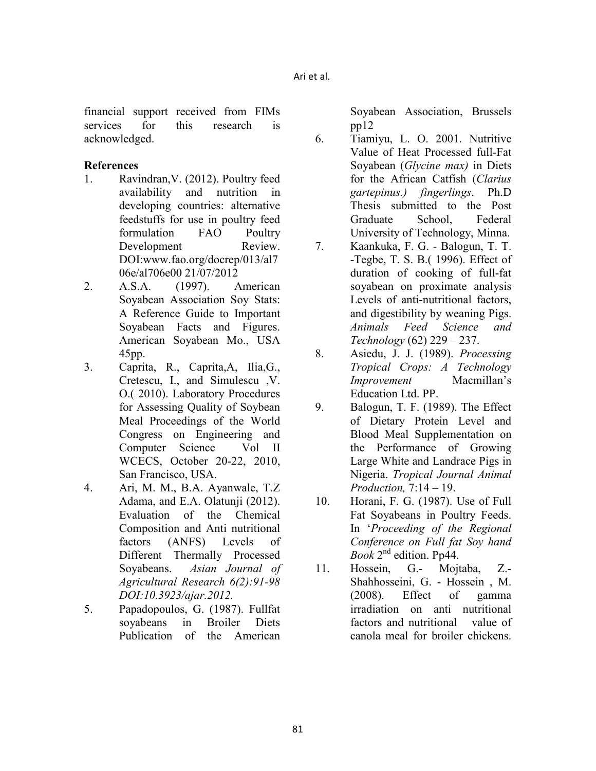financial support received from FIMs services for this research is acknowledged.

### **References**

- 1. Ravindran,V. (2012). Poultry feed availability and nutrition in developing countries: alternative feedstuffs for use in poultry feed formulation FAO Poultry Development Review. DOI:www.fao.org/docrep/013/al7 06e/al706e00 21/07/2012
- 2. A.S.A. (1997). American Soyabean Association Soy Stats: A Reference Guide to Important Soyabean Facts and Figures. American Soyabean Mo., USA 45pp.
- 3. Caprita, R., Caprita,A, Ilia,G., Cretescu, I., and Simulescu ,V. O.( 2010). Laboratory Procedures for Assessing Quality of Soybean Meal Proceedings of the World Congress on Engineering and Computer Science Vol II WCECS, October 20-22, 2010, San Francisco, USA.
- 4. Ari, M. M., B.A. Ayanwale, T.Z Adama, and E.A. Olatunji (2012). Evaluation of the Chemical Composition and Anti nutritional factors (ANFS) Levels of Different Thermally Processed Soyabeans. *Asian Journal of Agricultural Research 6(2):91-98 DOI:10.3923/ajar.2012.*
- 5. Papadopoulos, G. (1987). Fullfat soyabeans in Broiler Diets Publication of the American

Soyabean Association, Brussels pp12

- 6. Tiamiyu, L. O. 2001. Nutritive Value of Heat Processed full-Fat Soyabean (*Glycine max)* in Diets for the African Catfish (*Clarius gartepinus.) fingerlings*. Ph.D Thesis submitted to the Post Graduate School, Federal University of Technology, Minna.
- 7. Kaankuka, F. G. Balogun, T. T. -Tegbe, T. S. B.( 1996). Effect of duration of cooking of full-fat soyabean on proximate analysis Levels of anti-nutritional factors, and digestibility by weaning Pigs. *Animals Feed Science and Technology* (62) 229 – 237.
- 8. Asiedu, J. J. (1989). *Processing Tropical Crops: A Technology Improvement* Macmillan's Education Ltd. PP.
- 9. Balogun, T. F. (1989). The Effect of Dietary Protein Level and Blood Meal Supplementation on the Performance of Growing Large White and Landrace Pigs in Nigeria. *Tropical Journal Animal Production,* 7:14 – 19.
- 10. Horani, F. G. (1987). Use of Full Fat Soyabeans in Poultry Feeds. In '*Proceeding of the Regional Conference on Full fat Soy hand Book* 2nd edition. Pp44.
- 11. Hossein, G.- Mojtaba, Z.- Shahhosseini, G. - Hossein , M. (2008). Effect of gamma irradiation on anti nutritional factors and nutritional value of canola meal for broiler chickens.